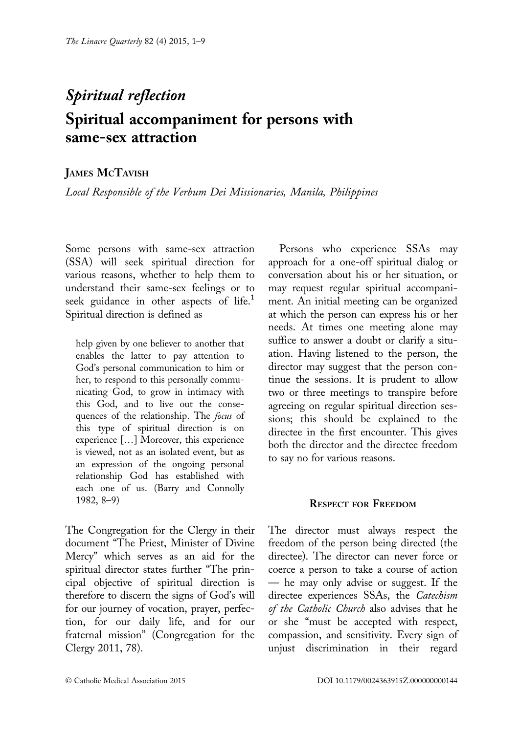# Spiritual reflection Spiritual accompaniment for persons with same-sex attraction

**JAMES MCTAVISH** 

Local Responsible of the Verbum Dei Missionaries, Manila, Philippines

Some persons with same-sex attraction (SSA) will seek spiritual direction for various reasons, whether to help them to understand their same-sex feelings or to seek guidance in other aspects of life.<sup>1</sup> [Spiritual direction is defined as](#page-6-0)

help given by one believer to another that enables the latter to pay attention to God's personal communication to him or her, to respond to this personally communicating God, to grow in intimacy with this God, and to live out the consequences of the relationship. The focus of this type of spiritual direction is on experience […] Moreover, this experience is viewed, not as an isolated event, but as an expression of the ongoing personal relationship God has established with each one of us. [\(Barry and Connolly](#page-7-0) [1982](#page-7-0), 8–9)

The Congregation for the Clergy in their document "The Priest, Minister of Divine Mercy" which serves as an aid for the spiritual director states further "The principal objective of spiritual direction is therefore to discern the signs of God's will for our journey of vocation, prayer, perfection, for our daily life, and for our fraternal mission" [\(Congregation for the](#page-7-0) [Clergy 2011](#page-7-0), 78).

Persons who experience SSAs may approach for a one-off spiritual dialog or conversation about his or her situation, or may request regular spiritual accompaniment. An initial meeting can be organized at which the person can express his or her needs. At times one meeting alone may suffice to answer a doubt or clarify a situation. Having listened to the person, the director may suggest that the person continue the sessions. It is prudent to allow two or three meetings to transpire before agreeing on regular spiritual direction sessions; this should be explained to the directee in the first encounter. This gives both the director and the directee freedom to say no for various reasons.

# RESPECT FOR FREEDOM

The director must always respect the freedom of the person being directed (the directee). The director can never force or coerce a person to take a course of action — he may only advise or suggest. If the directee experiences SSAs, the Catechism of the Catholic Church also advises that he or she "must be accepted with respect, compassion, and sensitivity. Every sign of unjust discrimination in their regard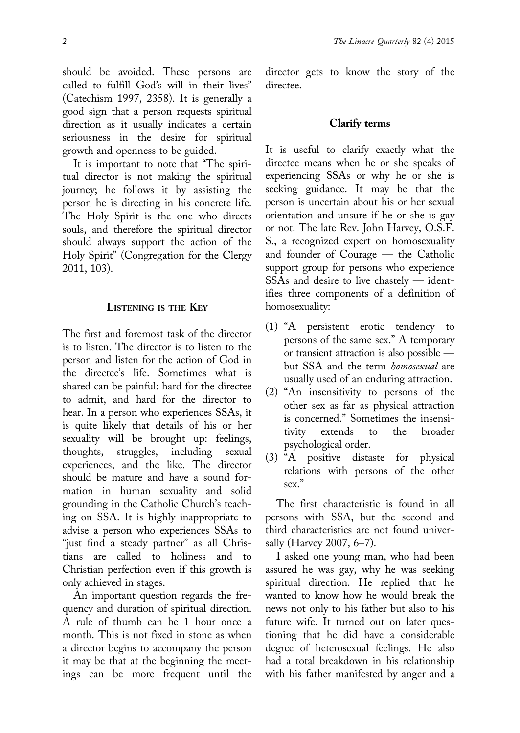should be avoided. These persons are called to fulfill God's will in their lives" ([Catechism 1997,](#page-7-0) 2358). It is generally a good sign that a person requests spiritual direction as it usually indicates a certain seriousness in the desire for spiritual growth and openness to be guided.

It is important to note that "The spiritual director is not making the spiritual journey; he follows it by assisting the person he is directing in his concrete life. The Holy Spirit is the one who directs souls, and therefore the spiritual director should always support the action of the Holy Spirit" ([Congregation for the Clergy](#page-7-0) [2011,](#page-7-0) 103).

## LISTENING IS THE KEY

The first and foremost task of the director is to listen. The director is to listen to the person and listen for the action of God in the directee's life. Sometimes what is shared can be painful: hard for the directee to admit, and hard for the director to hear. In a person who experiences SSAs, it is quite likely that details of his or her sexuality will be brought up: feelings, thoughts, struggles, including sexual experiences, and the like. The director should be mature and have a sound formation in human sexuality and solid grounding in the Catholic Church's teaching on SSA. It is highly inappropriate to advise a person who experiences SSAs to "just find a steady partner" as all Christians are called to holiness and to Christian perfection even if this growth is only achieved in stages.

An important question regards the frequency and duration of spiritual direction. A rule of thumb can be 1 hour once a month. This is not fixed in stone as when a director begins to accompany the person it may be that at the beginning the meetings can be more frequent until the director gets to know the story of the directee.

## Clarify terms

It is useful to clarify exactly what the directee means when he or she speaks of experiencing SSAs or why he or she is seeking guidance. It may be that the person is uncertain about his or her sexual orientation and unsure if he or she is gay or not. The late Rev. John Harvey, O.S.F. S., a recognized expert on homosexuality and founder of Courage — the Catholic support group for persons who experience SSAs and desire to live chastely — identifies three components of a definition of homosexuality:

- (1) "A persistent erotic tendency to persons of the same sex." A temporary or transient attraction is also possible but SSA and the term *homosexual* are usually used of an enduring attraction.
- (2) "An insensitivity to persons of the other sex as far as physical attraction is concerned." Sometimes the insensitivity extends to the broader psychological order.
- (3) "A positive distaste for physical relations with persons of the other sex."

The first characteristic is found in all persons with SSA, but the second and third characteristics are not found universally [\(Harvey 2007,](#page-7-0) 6–7).

I asked one young man, who had been assured he was gay, why he was seeking spiritual direction. He replied that he wanted to know how he would break the news not only to his father but also to his future wife. It turned out on later questioning that he did have a considerable degree of heterosexual feelings. He also had a total breakdown in his relationship with his father manifested by anger and a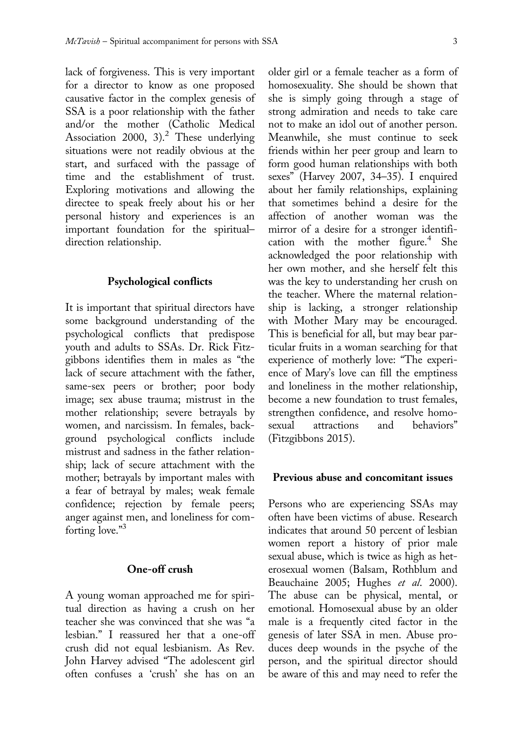lack of forgiveness. This is very important for a director to know as one proposed causative factor in the complex genesis of SSA is a poor relationship with the father and/or the mother [\(Catholic Medical](#page-7-0) [Association 2000,](#page-7-0) 3).<sup>2</sup> [These underlying](#page-6-0) [situations were not readily obvious at the](#page-6-0) [start, and surfaced with the passage of](#page-6-0) [time and the establishment of trust.](#page-6-0) [Exploring motivations and allowing the](#page-6-0) [directee to speak freely about his or her](#page-6-0) [personal history and experiences is an](#page-6-0) [important foundation for the spiritual](#page-6-0)– [direction relationship.](#page-6-0)

#### Psychological conflicts

It is important that spiritual directors have some background understanding of the psychological conflicts that predispose youth and adults to SSAs. Dr. Rick Fitzgibbons identifies them in males as "the lack of secure attachment with the father, same-sex peers or brother; poor body image; sex abuse trauma; mistrust in the mother relationship; severe betrayals by women, and narcissism. In females, background psychological conflicts include mistrust and sadness in the father relationship; lack of secure attachment with the mother; betrayals by important males with a fear of betrayal by males; weak female confidence; rejection by female peers; anger against men, and loneliness for com-forting love."[3](#page-6-0)

## One-off crush

A young woman approached me for spiritual direction as having a crush on her teacher she was convinced that she was "a lesbian." I reassured her that a one-off crush did not equal lesbianism. As Rev. John Harvey advised "The adolescent girl often confuses a 'crush' she has on an

older girl or a female teacher as a form of homosexuality. She should be shown that she is simply going through a stage of strong admiration and needs to take care not to make an idol out of another person. Meanwhile, she must continue to seek friends within her peer group and learn to form good human relationships with both sexes" [\(Harvey 2007](#page-7-0), 34–35). I enquired about her family relationships, explaining that sometimes behind a desire for the affection of another woman was the mirror of a desire for a stronger identifi-cation with the mother figure.<sup>[4](#page-6-0)</sup> [She](#page-6-0) [acknowledged the poor relationship with](#page-6-0) [her own mother, and she herself felt this](#page-6-0) [was the key to understanding her crush on](#page-6-0) [the teacher. Where the maternal relation](#page-6-0)[ship is lacking, a stronger relationship](#page-6-0) [with Mother Mary may be encouraged.](#page-6-0) [This is beneficial for all, but may bear par](#page-6-0)[ticular fruits in a woman searching for that](#page-6-0) [experience of motherly love:](#page-6-0) "The experience of Mary'[s love can fill the emptiness](#page-6-0) [and loneliness in the mother relationship,](#page-6-0) [become a new foundation to trust females,](#page-6-0) [strengthen confidence, and resolve homo](#page-6-0)[sexual attractions and behaviors](#page-6-0)" [\(Fitzgibbons 2015\).](#page-6-0)

## Previous abuse and concomitant issues

Persons who are experiencing SSAs may often have been victims of abuse. Research indicates that around 50 percent of lesbian women report a history of prior male sexual abuse, which is twice as high as heterosexual women ([Balsam, Rothblum and](#page-7-0) [Beauchaine 2005](#page-7-0); [Hughes](#page-7-0) et al. 2000). The abuse can be physical, mental, or emotional. Homosexual abuse by an older male is a frequently cited factor in the genesis of later SSA in men. Abuse produces deep wounds in the psyche of the person, and the spiritual director should be aware of this and may need to refer the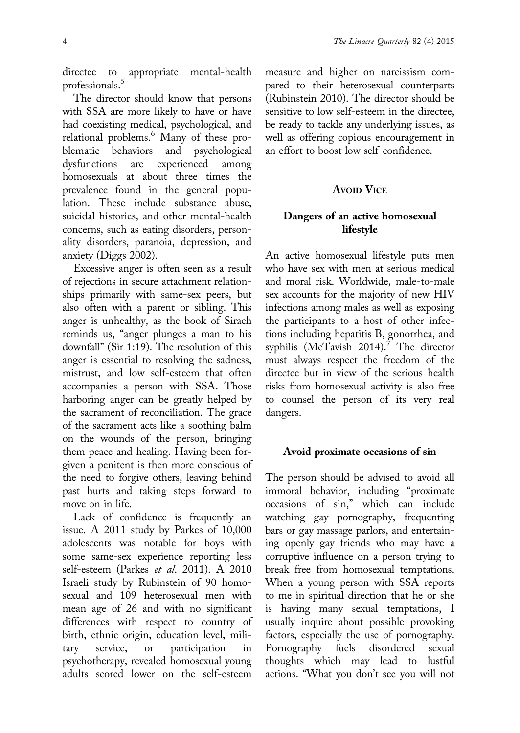directee to appropriate mental-health professionals.[5](#page-7-0)

The director should know that persons with SSA are more likely to have or have had coexisting medical, psychological, and relational problems.<sup>6</sup> [Many of these pro](#page-7-0)[blematic behaviors and psychological](#page-7-0) [dysfunctions are experienced among](#page-7-0) [homosexuals at about three times the](#page-7-0) [prevalence found in the general popu](#page-7-0)[lation. These include substance abuse,](#page-7-0) [suicidal histories, and other mental-health](#page-7-0) [concerns, such as eating disorders, person](#page-7-0)[ality disorders, paranoia, depression, and](#page-7-0) [anxiety \(Diggs 2002\).](#page-7-0)

Excessive anger is often seen as a result of rejections in secure attachment relationships primarily with same-sex peers, but also often with a parent or sibling. This anger is unhealthy, as the book of Sirach reminds us, "anger plunges a man to his downfall" (Sir 1:19). The resolution of this anger is essential to resolving the sadness, mistrust, and low self-esteem that often accompanies a person with SSA. Those harboring anger can be greatly helped by the sacrament of reconciliation. The grace of the sacrament acts like a soothing balm on the wounds of the person, bringing them peace and healing. Having been forgiven a penitent is then more conscious of the need to forgive others, leaving behind past hurts and taking steps forward to move on in life.

Lack of confidence is frequently an issue. A 2011 study by Parkes of 10,000 adolescents was notable for boys with some same-sex experience reporting less self-esteem (Parkes et al[. 2011](#page-7-0)). A 2010 Israeli study by Rubinstein of 90 homosexual and 109 heterosexual men with mean age of 26 and with no significant differences with respect to country of birth, ethnic origin, education level, military service, or participation in psychotherapy, revealed homosexual young adults scored lower on the self-esteem

measure and higher on narcissism compared to their heterosexual counterparts [\(Rubinstein 2010\)](#page-8-0). The director should be sensitive to low self-esteem in the directee, be ready to tackle any underlying issues, as well as offering copious encouragement in an effort to boost low self-confidence.

## AVOID VICE

# Dangers of an active homosexual lifestyle

An active homosexual lifestyle puts men who have sex with men at serious medical and moral risk. Worldwide, male-to-male sex accounts for the majority of new HIV infections among males as well as exposing the participants to a host of other infections including hepatitis B, gonorrhea, and syphilis [\(McTavish 2014\)](#page-7-0).<sup>[7](#page-7-0)</sup> [The director](#page-7-0) [must always respect the freedom of the](#page-7-0) [directee but in view of the serious health](#page-7-0) [risks from homosexual activity is also free](#page-7-0) [to counsel the person of its very real](#page-7-0) [dangers.](#page-7-0)

## Avoid proximate occasions of sin

The person should be advised to avoid all immoral behavior, including "proximate occasions of sin," which can include watching gay pornography, frequenting bars or gay massage parlors, and entertaining openly gay friends who may have a corruptive influence on a person trying to break free from homosexual temptations. When a young person with SSA reports to me in spiritual direction that he or she is having many sexual temptations, I usually inquire about possible provoking factors, especially the use of pornography. Pornography fuels disordered sexual thoughts which may lead to lustful actions. "What you don't see you will not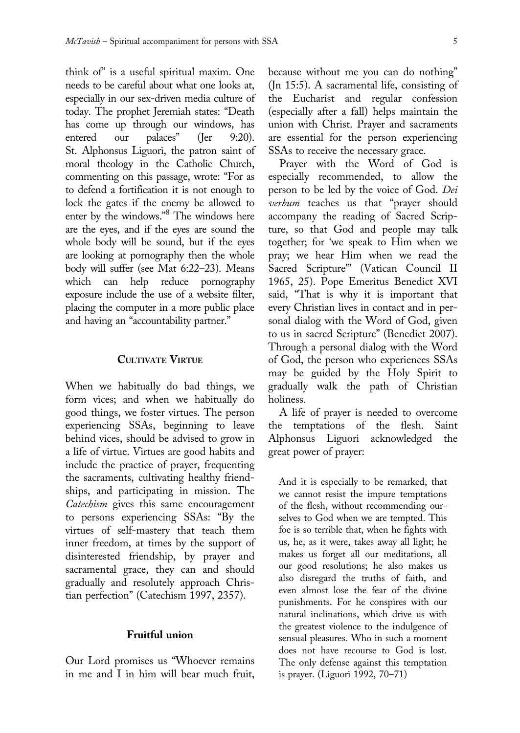think of" is a useful spiritual maxim. One needs to be careful about what one looks at, especially in our sex-driven media culture of today. The prophet Jeremiah states: "Death has come up through our windows, has entered our palaces" (Jer 9:20). St. Alphonsus Liguori, the patron saint of moral theology in the Catholic Church, commenting on this passage, wrote: "For as to defend a fortification it is not enough to lock the gates if the enemy be allowed to enter by the windows." [8](#page-7-0) [The windows here](#page-7-0) [are the eyes, and if the eyes are sound the](#page-7-0) [whole body will be sound, but if the eyes](#page-7-0) [are looking at pornography then the whole](#page-7-0) [body will suffer \(see Mat 6:22](#page-7-0)–23). Means [which can help reduce pornography](#page-7-0) [exposure include the use of a website filter,](#page-7-0) [placing the computer in a more public place](#page-7-0) and having an "[accountability partner.](#page-7-0)"

## CULTIVATE VIRTUE

When we habitually do bad things, we form vices; and when we habitually do good things, we foster virtues. The person experiencing SSAs, beginning to leave behind vices, should be advised to grow in a life of virtue. Virtues are good habits and include the practice of prayer, frequenting the sacraments, cultivating healthy friendships, and participating in mission. The Catechism gives this same encouragement to persons experiencing SSAs: "By the virtues of self-mastery that teach them inner freedom, at times by the support of disinterested friendship, by prayer and sacramental grace, they can and should gradually and resolutely approach Christian perfection" [\(Catechism 1997,](#page-7-0) 2357).

#### Fruitful union

Our Lord promises us "Whoever remains in me and I in him will bear much fruit, because without me you can do nothing" (Jn 15:5). A sacramental life, consisting of the Eucharist and regular confession (especially after a fall) helps maintain the union with Christ. Prayer and sacraments are essential for the person experiencing SSAs to receive the necessary grace.

Prayer with the Word of God is especially recommended, to allow the person to be led by the voice of God. Dei verbum teaches us that "prayer should accompany the reading of Sacred Scripture, so that God and people may talk together; for 'we speak to Him when we pray; we hear Him when we read the Sacred Scripture'" [\(Vatican Council II](#page-8-0) [1965,](#page-8-0) 25). Pope Emeritus Benedict XVI said, "That is why it is important that every Christian lives in contact and in personal dialog with the Word of God, given to us in sacred Scripture" [\(Benedict 2007\)](#page-7-0). Through a personal dialog with the Word of God, the person who experiences SSAs may be guided by the Holy Spirit to gradually walk the path of Christian holiness.

A life of prayer is needed to overcome the temptations of the flesh. Saint Alphonsus Liguori acknowledged the great power of prayer:

And it is especially to be remarked, that we cannot resist the impure temptations of the flesh, without recommending ourselves to God when we are tempted. This foe is so terrible that, when he fights with us, he, as it were, takes away all light; he makes us forget all our meditations, all our good resolutions; he also makes us also disregard the truths of faith, and even almost lose the fear of the divine punishments. For he conspires with our natural inclinations, which drive us with the greatest violence to the indulgence of sensual pleasures. Who in such a moment does not have recourse to God is lost. The only defense against this temptation is prayer. [\(Liguori 1992](#page-7-0), 70–71)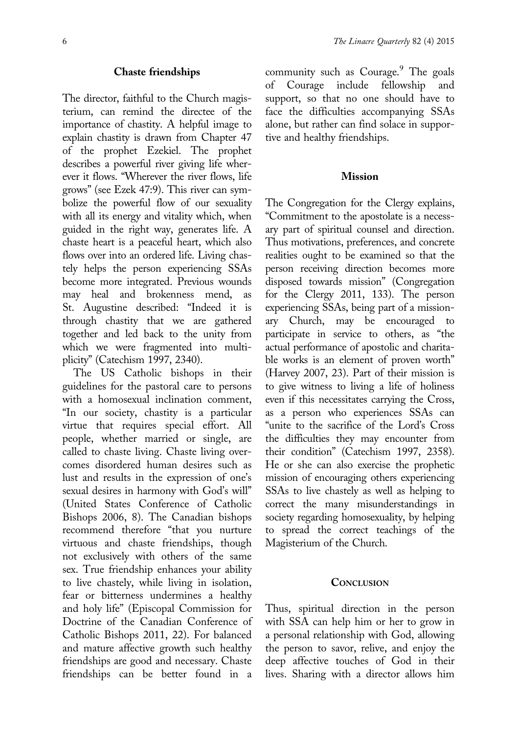### Chaste friendships

The director, faithful to the Church magisterium, can remind the directee of the importance of chastity. A helpful image to explain chastity is drawn from Chapter 47 of the prophet Ezekiel. The prophet describes a powerful river giving life wherever it flows. "Wherever the river flows, life grows" (see Ezek 47:9). This river can symbolize the powerful flow of our sexuality with all its energy and vitality which, when guided in the right way, generates life. A chaste heart is a peaceful heart, which also flows over into an ordered life. Living chastely helps the person experiencing SSAs become more integrated. Previous wounds may heal and brokenness mend, as St. Augustine described: "Indeed it is through chastity that we are gathered together and led back to the unity from which we were fragmented into multiplicity" [\(Catechism 1997](#page-7-0), 2340).

The US Catholic bishops in their guidelines for the pastoral care to persons with a homosexual inclination comment, "In our society, chastity is a particular virtue that requires special effort. All people, whether married or single, are called to chaste living. Chaste living overcomes disordered human desires such as lust and results in the expression of one's sexual desires in harmony with God's will" ([United States Conference of Catholic](#page-8-0) [Bishops 2006](#page-8-0), 8). The Canadian bishops recommend therefore "that you nurture virtuous and chaste friendships, though not exclusively with others of the same sex. True friendship enhances your ability to live chastely, while living in isolation, fear or bitterness undermines a healthy and holy life" (Episcopal Commission for Doctrine of the [Canadian Conference of](#page-7-0) [Catholic Bishops 2011](#page-7-0), 22). For balanced and mature affective growth such healthy friendships are good and necessary. Chaste friendships can be better found in a community such as Courage.<sup>9</sup> [The goals](#page-7-0) [of Courage include fellowship and](#page-7-0) [support, so that no one should have to](#page-7-0) [face the difficulties accompanying SSAs](#page-7-0) [alone, but rather can find solace in suppor](#page-7-0)[tive and healthy friendships.](#page-7-0)

#### Mission

The Congregation for the Clergy explains, "Commitment to the apostolate is a necessary part of spiritual counsel and direction. Thus motivations, preferences, and concrete realities ought to be examined so that the person receiving direction becomes more disposed towards mission" [\(Congregation](#page-7-0) [for the Clergy 2011,](#page-7-0) 133). The person experiencing SSAs, being part of a missionary Church, may be encouraged to participate in service to others, as "the actual performance of apostolic and charitable works is an element of proven worth" [\(Harvey 2007](#page-7-0), 23). Part of their mission is to give witness to living a life of holiness even if this necessitates carrying the Cross, as a person who experiences SSAs can "unite to the sacrifice of the Lord's Cross the difficulties they may encounter from their condition" [\(Catechism 1997](#page-7-0), 2358). He or she can also exercise the prophetic mission of encouraging others experiencing SSAs to live chastely as well as helping to correct the many misunderstandings in society regarding homosexuality, by helping to spread the correct teachings of the Magisterium of the Church.

### **CONCLUSION**

Thus, spiritual direction in the person with SSA can help him or her to grow in a personal relationship with God, allowing the person to savor, relive, and enjoy the deep affective touches of God in their lives. Sharing with a director allows him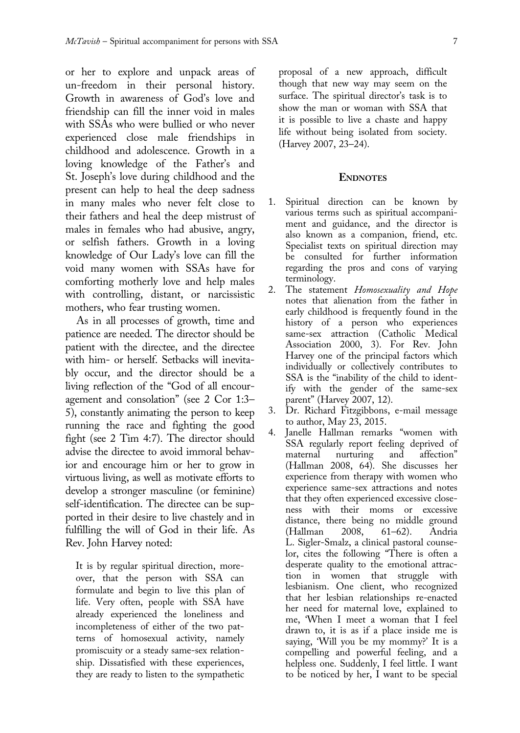<span id="page-6-0"></span>or her to explore and unpack areas of un-freedom in their personal history. Growth in awareness of God's love and friendship can fill the inner void in males with SSAs who were bullied or who never experienced close male friendships in childhood and adolescence. Growth in a loving knowledge of the Father's and St. Joseph's love during childhood and the present can help to heal the deep sadness in many males who never felt close to their fathers and heal the deep mistrust of males in females who had abusive, angry, or selfish fathers. Growth in a loving knowledge of Our Lady's love can fill the void many women with SSAs have for comforting motherly love and help males with controlling, distant, or narcissistic mothers, who fear trusting women.

As in all processes of growth, time and patience are needed. The director should be patient with the directee, and the directee with him- or herself. Setbacks will inevitably occur, and the director should be a living reflection of the "God of all encouragement and consolation" (see 2 Cor 1:3– 5), constantly animating the person to keep running the race and fighting the good fight (see 2 Tim 4:7). The director should advise the directee to avoid immoral behavior and encourage him or her to grow in virtuous living, as well as motivate efforts to develop a stronger masculine (or feminine) self-identification. The directee can be supported in their desire to live chastely and in fulfilling the will of God in their life. As Rev. John Harvey noted:

It is by regular spiritual direction, moreover, that the person with SSA can formulate and begin to live this plan of life. Very often, people with SSA have already experienced the loneliness and incompleteness of either of the two patterns of homosexual activity, namely promiscuity or a steady same-sex relationship. Dissatisfied with these experiences, they are ready to listen to the sympathetic proposal of a new approach, difficult though that new way may seem on the surface. The spiritual director's task is to show the man or woman with SSA that it is possible to live a chaste and happy life without being isolated from society. [\(Harvey 2007](#page-7-0), 23–24).

#### **ENDNOTES**

- 1. Spiritual direction can be known by various terms such as spiritual accompaniment and guidance, and the director is also known as a companion, friend, etc. Specialist texts on spiritual direction may be consulted for further information regarding the pros and cons of varying terminology.
- 2. The statement Homosexuality and Hope notes that alienation from the father in early childhood is frequently found in the history of a person who experiences same-sex attraction [\(Catholic Medical](#page-7-0) [Association 2000](#page-7-0), 3). For Rev. John Harvey one of the principal factors which individually or collectively contributes to SSA is the "inability of the child to identify with the gender of the same-sex parent" ([Harvey 2007,](#page-7-0) 12).
- 3. Dr. Richard Fitzgibbons, e-mail message to author, May 23, 2015.
- 4. Janelle Hallman remarks "women with SSA regularly report feeling deprived of<br>maternal nurturing and affection" nurturing ([Hallman 2008](#page-7-0), 64). She discusses her experience from therapy with women who experience same-sex attractions and notes that they often experienced excessive closeness with their moms or excessive distance, there being no middle ground<br>(Hallman 2008, 61-62). Andria  $(Hallman \t 2008, 61-62).$ L. Sigler-Smalz, a clinical pastoral counselor, cites the following "There is often a desperate quality to the emotional attraction in women that struggle with lesbianism. One client, who recognized that her lesbian relationships re-enacted her need for maternal love, explained to me, 'When I meet a woman that I feel drawn to, it is as if a place inside me is saying, 'Will you be my mommy?' It is a compelling and powerful feeling, and a helpless one. Suddenly, I feel little. I want to be noticed by her, I want to be special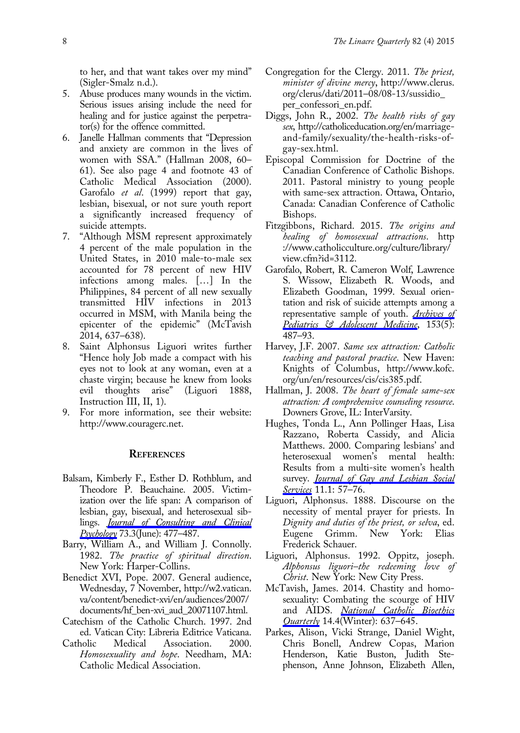<span id="page-7-0"></span>to her, and that want takes over my mind" [\(Sigler-Smalz n.d.](#page-8-0)).

- 5. Abuse produces many wounds in the victim. Serious issues arising include the need for healing and for justice against the perpetrator(s) for the offence committed.
- 6. Janelle Hallman comments that "Depression and anxiety are common in the lives of women with SSA." (Hallman 2008, 60– 61). See also page 4 and footnote 43 of Catholic Medical Association (2000). Garofalo *et al.* (1999) report that gay, lesbian, bisexual, or not sure youth report a significantly increased frequency of suicide attempts.
- 7. "Although MSM represent approximately 4 percent of the male population in the United States, in 2010 male-to-male sex accounted for 78 percent of new HIV infections among males. […] In the Philippines, 84 percent of all new sexually transmitted HIV infections in 2013 occurred in MSM, with Manila being the epicenter of the epidemic" (McTavish 2014, 637–638).
- 8. Saint Alphonsus Liguori writes further "Hence holy Job made a compact with his eyes not to look at any woman, even at a chaste virgin; because he knew from looks evil thoughts arise" (Liguori 1888, Instruction III, II, 1).
- 9. For more information, see their website: [http://www.couragerc.net.](http://www.couragerc.net)

#### **REFERENCES**

- Balsam, Kimberly F., Esther D. Rothblum, and Theodore P. Beauchaine. 2005. Victimization over the life span: A comparison of lesbian, gay, bisexual, and heterosexual sib-lings. [Journal of Consulting and Clinical](http://www.maneyonline.com/action/showLinks?pmid=15982145&crossref=10.1037%2F0022-006X.73.3.477&isi=000230036200010) [Psychology](http://www.maneyonline.com/action/showLinks?pmid=15982145&crossref=10.1037%2F0022-006X.73.3.477&isi=000230036200010) 73.3(June): 477–487.
- Barry, William A., and William J. Connolly. 1982. The practice of spiritual direction. New York: Harper-Collins.
- Benedict XVI, Pope. 2007. General audience, Wednesday, 7 November, [http://w2.vatican.](http://w2.vatican.va/content/benedict-xvi/en/audiences/2007/documents/hf_ben-xvi_aud_20071107.html) [va/content/benedict-xvi/en/audiences/2007/](http://w2.vatican.va/content/benedict-xvi/en/audiences/2007/documents/hf_ben-xvi_aud_20071107.html) [documents/hf\\_ben-xvi\\_aud\\_20071107.html](http://w2.vatican.va/content/benedict-xvi/en/audiences/2007/documents/hf_ben-xvi_aud_20071107.html).
- Catechism of the Catholic Church. 1997. 2nd ed. Vatican City: Libreria Editrice Vaticana.
- Catholic Medical Association. 2000. Homosexuality and hope. Needham, MA: Catholic Medical Association.
- Congregation for the Clergy. 2011. The priest, minister of divine mercy, [http://www.clerus.](http://www.clerus.org/clerus/dati/2011–08/08-13/sussidio_per_confessori_en.pdf) [org/clerus/dati/2011](http://www.clerus.org/clerus/dati/2011–08/08-13/sussidio_per_confessori_en.pdf)–08/08-13/sussidio\_ [per\\_confessori\\_en.pdf.](http://www.clerus.org/clerus/dati/2011–08/08-13/sussidio_per_confessori_en.pdf)
- Diggs, John R., 2002. The health risks of gay sex, [http://catholiceducation.org/en/marriage](http://catholiceducation.org/en/marriage-and-family/sexuality/the-health-risks-of-gay-sex.html)[and-family/sexuality/the-health-risks-of](http://catholiceducation.org/en/marriage-and-family/sexuality/the-health-risks-of-gay-sex.html)[gay-sex.html.](http://catholiceducation.org/en/marriage-and-family/sexuality/the-health-risks-of-gay-sex.html)
- Episcopal Commission for Doctrine of the Canadian Conference of Catholic Bishops. 2011. Pastoral ministry to young people with same-sex attraction. Ottawa, Ontario, Canada: Canadian Conference of Catholic Bishops.
- Fitzgibbons, Richard. 2015. The origins and healing of homosexual attractions. [http](http://www.catholicculture.org/culture/library/view.cfm?id=3112) [://www.catholicculture.org/culture/library/](http://www.catholicculture.org/culture/library/view.cfm?id=3112) [view.cfm?id=3112](http://www.catholicculture.org/culture/library/view.cfm?id=3112).
- Garofalo, Robert, R. Cameron Wolf, Lawrence S. Wissow, Elizabeth R. Woods, and Elizabeth Goodman, 1999. Sexual orientation and risk of suicide attempts among a representative sample of youth. [Archives of](http://www.maneyonline.com/action/showLinks?pmid=10323629&crossref=10.1001%2Farchpedi.153.5.487) [Pediatrics & Adolescent Medicine](http://www.maneyonline.com/action/showLinks?pmid=10323629&crossref=10.1001%2Farchpedi.153.5.487), 153(5): 487–93.
- Harvey, J.F. 2007. Same sex attraction: Catholic teaching and pastoral practice. New Haven: Knights of Columbus, [http://www.kofc.](http://www.kofc.org/un/en/resources/cis/cis385.pdf) [org/un/en/resources/cis/cis385.pdf](http://www.kofc.org/un/en/resources/cis/cis385.pdf).
- Hallman, J. 2008. The heart of female same-sex attraction: A comprehensive counseling resource. Downers Grove, IL: InterVarsity.
- Hughes, Tonda L., Ann Pollinger Haas, Lisa Razzano, Roberta Cassidy, and Alicia Matthews. 2000. Comparing lesbians' and heterosexual women's mental health: Results from a multi-site women's health survey. *[Journal of Gay and Lesbian Social](http://www.maneyonline.com/action/showLinks?crossref=10.1300%2FJ041v11n01_03)* [Services](http://www.maneyonline.com/action/showLinks?crossref=10.1300%2FJ041v11n01_03) 11.1: 57-76.
- Liguori, Alphonsus. 1888. Discourse on the necessity of mental prayer for priests. In Dignity and duties of the priest, or selva, ed. Eugene Grimm. New York: Elias Frederick Schauer.
- Liguori, Alphonsus. 1992. Oppitz, joseph. Alphonsus liguori–the redeeming love of Christ. New York: New City Press.
- McTavish, James. 2014. Chastity and homosexuality: Combating the scourge of HIV and AIDS. [National Catholic Bioethics](http://www.maneyonline.com/action/showLinks?crossref=10.5840%2Fncbq201414467) **[Quarterly](http://www.maneyonline.com/action/showLinks?crossref=10.5840%2Fncbq201414467)** 14.4(Winter): 637-645.
- Parkes, Alison, Vicki Strange, Daniel Wight, Chris Bonell, Andrew Copas, Marion Henderson, Katie Buston, Judith Stephenson, Anne Johnson, Elizabeth Allen,